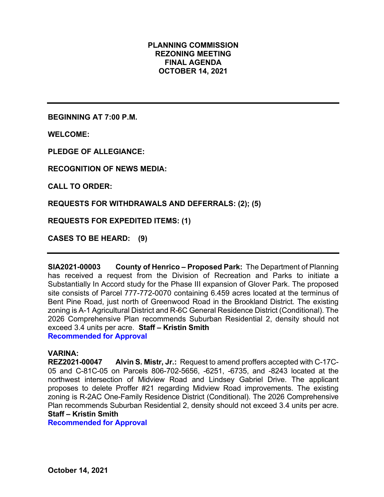# **PLANNING COMMISSION REZONING MEETING FINAL AGENDA OCTOBER 14, 2021**

**BEGINNING AT 7:00 P.M.**

**WELCOME:**

**PLEDGE OF ALLEGIANCE:**

**RECOGNITION OF NEWS MEDIA:**

**CALL TO ORDER:**

**REQUESTS FOR WITHDRAWALS AND DEFERRALS: (2); (5)**

**REQUESTS FOR EXPEDITED ITEMS: (1)**

**CASES TO BE HEARD: (9)**

**SIA2021-00003 County of Henrico – Proposed Park:** The Department of Planning has received a request from the Division of Recreation and Parks to initiate a Substantially In Accord study for the Phase III expansion of Glover Park. The proposed site consists of Parcel 777-772-0070 containing 6.459 acres located at the terminus of Bent Pine Road, just north of Greenwood Road in the Brookland District. The existing zoning is A-1 Agricultural District and R-6C General Residence District (Conditional). The 2026 Comprehensive Plan recommends Suburban Residential 2, density should not exceed 3.4 units per acre. **Staff – Kristin Smith Recommended for Approval**

## **VARINA:**

**REZ2021-00047 Alvin S. Mistr, Jr.:** Request to amend proffers accepted with C-17C-05 and C-81C-05 on Parcels 806-702-5656, -6251, -6735, and -8243 located at the northwest intersection of Midview Road and Lindsey Gabriel Drive. The applicant proposes to delete Proffer #21 regarding Midview Road improvements. The existing zoning is R-2AC One-Family Residence District (Conditional). The 2026 Comprehensive Plan recommends Suburban Residential 2, density should not exceed 3.4 units per acre. **Staff – Kristin Smith**

**Recommended for Approval**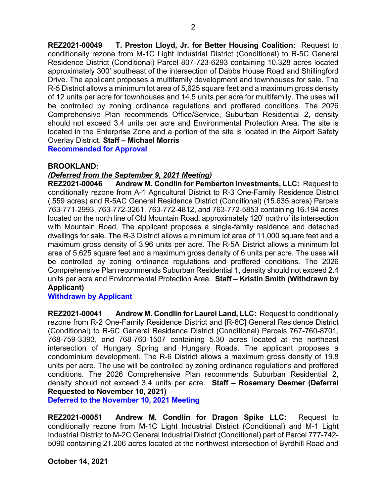**REZ2021-00049 T. Preston Lloyd, Jr. for Better Housing Coalition:** Request to conditionally rezone from M-1C Light Industrial District (Conditional) to R-5C General Residence District (Conditional) Parcel 807-723-6293 containing 10.328 acres located approximately 300' southeast of the intersection of Dabbs House Road and Shillingford Drive. The applicant proposes a multifamily development and townhouses for sale. The R-5 District allows a minimum lot area of 5,625 square feet and a maximum gross density of 12 units per acre for townhouses and 14.5 units per acre for multifamily. The uses will be controlled by zoning ordinance regulations and proffered conditions. The 2026 Comprehensive Plan recommends Office/Service, Suburban Residential 2, density should not exceed 3.4 units per acre and Environmental Protection Area. The site is located in the Enterprise Zone and a portion of the site is located in the Airport Safety Overlay District. **Staff – Michael Morris**

**Recommended for Approval**

## **BROOKLAND:**

## *(Deferred from the September 9, 2021 Meeting)*

**REZ2021-00046 Andrew M. Condlin for Pemberton Investments, LLC:** Request to conditionally rezone from A-1 Agricultural District to R-3 One-Family Residence District (.559 acres) and R-5AC General Residence District (Conditional) (15.635 acres) Parcels 763-771-2993, 763-772-3261, 763-772-4812, and 763-772-5853 containing 16.194 acres located on the north line of Old Mountain Road, approximately 120' north of its intersection with Mountain Road. The applicant proposes a single-family residence and detached dwellings for sale. The R-3 District allows a minimum lot area of 11,000 square feet and a maximum gross density of 3.96 units per acre. The R-5A District allows a minimum lot area of 5,625 square feet and a maximum gross density of 6 units per acre. The uses will be controlled by zoning ordinance regulations and proffered conditions. The 2026 Comprehensive Plan recommends Suburban Residential 1, density should not exceed 2.4 units per acre and Environmental Protection Area. **Staff – Kristin Smith (Withdrawn by Applicant)**

## **Withdrawn by Applicant**

**REZ2021-00041 Andrew M. Condlin for Laurel Land, LLC:** Request to conditionally rezone from R-2 One-Family Residence District and [R-6C] General Residence District (Conditional) to R-6C General Residence District (Conditional) Parcels 767-760-8701, 768-759-3393, and 768-760-1507 containing 5.30 acres located at the northeast intersection of Hungary Spring and Hungary Roads. The applicant proposes a condominium development. The R-6 District allows a maximum gross density of 19.8 units per acre. The use will be controlled by zoning ordinance regulations and proffered conditions. The 2026 Comprehensive Plan recommends Suburban Residential 2, density should not exceed 3.4 units per acre. **Staff – Rosemary Deemer (Deferral Requested to November 10, 2021)**

**Deferred to the November 10, 2021 Meeting**

**REZ2021-00051 Andrew M. Condlin for Dragon Spike LLC:** Request to conditionally rezone from M-1C Light Industrial District (Conditional) and M-1 Light Industrial District to M-2C General Industrial District (Conditional) part of Parcel 777-742- 5090 containing 21.206 acres located at the northwest intersection of Byrdhill Road and

**October 14, 2021**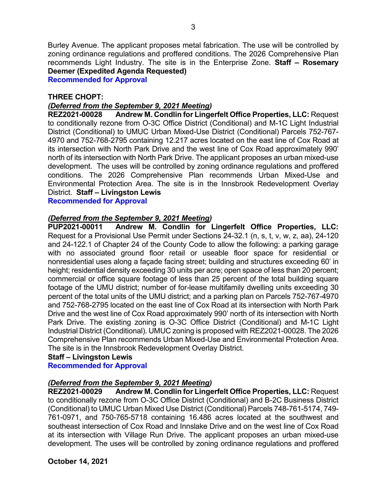Burley Avenue. The applicant proposes metal fabrication. The use will be controlled by zoning ordinance regulations and proffered conditions. The 2026 Comprehensive Plan recommends Light Industry. The site is in the Enterprise Zone. **Staff – Rosemary Deemer (Expedited Agenda Requested)**

**Recommended for Approval**

## **THREE CHOPT:**

# *(Deferred from the September 9, 2021 Meeting)*

**REZ2021-00028 Andrew M. Condlin for Lingerfelt Office Properties, LLC:** Request to conditionally rezone from O-3C Office District (Conditional) and M-1C Light Industrial District (Conditional) to UMUC Urban Mixed-Use District (Conditional) Parcels 752-767- 4970 and 752-768-2795 containing 12.217 acres located on the east line of Cox Road at its intersection with North Park Drive and the west line of Cox Road approximately 990' north of its intersection with North Park Drive. The applicant proposes an urban mixed-use development. The uses will be controlled by zoning ordinance regulations and proffered conditions. The 2026 Comprehensive Plan recommends Urban Mixed-Use and Environmental Protection Area. The site is in the Innsbrook Redevelopment Overlay District. **Staff – Livingston Lewis**

**Recommended for Approval**

# *(Deferred from the September 9, 2021 Meeting)*

**PUP2021-00011 Andrew M. Condlin for Lingerfelt Office Properties, LLC:**  Request for a Provisional Use Permit under Sections 24-32.1 (n, s, t, v, w, z, aa), 24-120 and 24-122.1 of Chapter 24 of the County Code to allow the following: a parking garage with no associated ground floor retail or useable floor space for residential or nonresidential uses along a façade facing street; building and structures exceeding 60' in height; residential density exceeding 30 units per acre; open space of less than 20 percent; commercial or office square footage of less than 25 percent of the total building square footage of the UMU district; number of for-lease multifamily dwelling units exceeding 30 percent of the total units of the UMU district; and a parking plan on Parcels 752-767-4970 and 752-768-2795 located on the east line of Cox Road at its intersection with North Park Drive and the west line of Cox Road approximately 990' north of its intersection with North Park Drive. The existing zoning is O-3C Office District (Conditional) and M-1C Light Industrial District (Conditional). UMUC zoning is proposed with REZ2021-00028. The 2026 Comprehensive Plan recommends Urban Mixed-Use and Environmental Protection Area. The site is in the Innsbrook Redevelopment Overlay District.

#### **Staff – Livingston Lewis Recommended for Approval**

# *(Deferred from the September 9, 2021 Meeting)*

**REZ2021-00029 Andrew M. Condlin for Lingerfelt Office Properties, LLC:** Request to conditionally rezone from O-3C Office District (Conditional) and B-2C Business District (Conditional) to UMUC Urban Mixed Use District (Conditional) Parcels 748-761-5174, 749- 761-0971, and 750-765-5718 containing 16.486 acres located at the southwest and southeast intersection of Cox Road and Innslake Drive and on the west line of Cox Road at its intersection with Village Run Drive. The applicant proposes an urban mixed-use development. The uses will be controlled by zoning ordinance regulations and proffered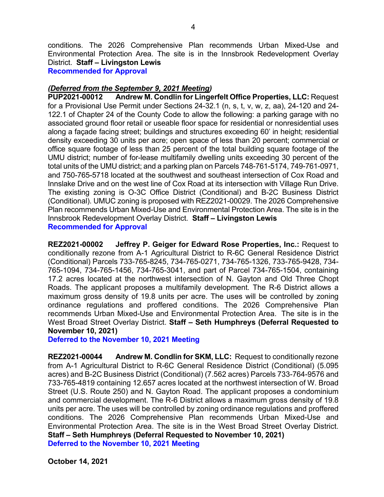conditions. The 2026 Comprehensive Plan recommends Urban Mixed-Use and Environmental Protection Area. The site is in the Innsbrook Redevelopment Overlay District. **Staff – Livingston Lewis**

**Recommended for Approval**

## *(Deferred from the September 9, 2021 Meeting)*

**PUP2021-00012 Andrew M. Condlin for Lingerfelt Office Properties, LLC:** Request for a Provisional Use Permit under Sections 24-32.1 (n, s, t, v, w, z, aa), 24-120 and 24- 122.1 of Chapter 24 of the County Code to allow the following: a parking garage with no associated ground floor retail or useable floor space for residential or nonresidential uses along a façade facing street; buildings and structures exceeding 60' in height; residential density exceeding 30 units per acre; open space of less than 20 percent; commercial or office square footage of less than 25 percent of the total building square footage of the UMU district; number of for-lease multifamily dwelling units exceeding 30 percent of the total units of the UMU district; and a parking plan on Parcels 748-761-5174, 749-761-0971, and 750-765-5718 located at the southwest and southeast intersection of Cox Road and Innslake Drive and on the west line of Cox Road at its intersection with Village Run Drive. The existing zoning is O-3C Office District (Conditional) and B-2C Business District (Conditional). UMUC zoning is proposed with REZ2021-00029. The 2026 Comprehensive Plan recommends Urban Mixed-Use and Environmental Protection Area. The site is in the Innsbrook Redevelopment Overlay District. **Staff – Livingston Lewis**

**Recommended for Approval**

**REZ2021-00002 Jeffrey P. Geiger for Edward Rose Properties, Inc.:** Request to conditionally rezone from A-1 Agricultural District to R-6C General Residence District (Conditional) Parcels 733-765-8245, 734-765-0271, 734-765-1326, 733-765-9428, 734- 765-1094, 734-765-1456, 734-765-3041, and part of Parcel 734-765-1504, containing 17.2 acres located at the northwest intersection of N. Gayton and Old Three Chopt Roads. The applicant proposes a multifamily development. The R-6 District allows a maximum gross density of 19.8 units per acre. The uses will be controlled by zoning ordinance regulations and proffered conditions. The 2026 Comprehensive Plan recommends Urban Mixed-Use and Environmental Protection Area. The site is in the West Broad Street Overlay District. **Staff – Seth Humphreys (Deferral Requested to November 10, 2021)**

**Deferred to the November 10, 2021 Meeting**

**REZ2021-00044 Andrew M. Condlin for SKM, LLC:** Request to conditionally rezone from A-1 Agricultural District to R-6C General Residence District (Conditional) (5.095 acres) and B-2C Business District (Conditional) (7.562 acres) Parcels 733-764-9576 and 733-765-4819 containing 12.657 acres located at the northwest intersection of W. Broad Street (U.S. Route 250) and N. Gayton Road. The applicant proposes a condominium and commercial development. The R-6 District allows a maximum gross density of 19.8 units per acre. The uses will be controlled by zoning ordinance regulations and proffered conditions. The 2026 Comprehensive Plan recommends Urban Mixed-Use and Environmental Protection Area. The site is in the West Broad Street Overlay District. **Staff – Seth Humphreys (Deferral Requested to November 10, 2021) Deferred to the November 10, 2021 Meeting**

**October 14, 2021**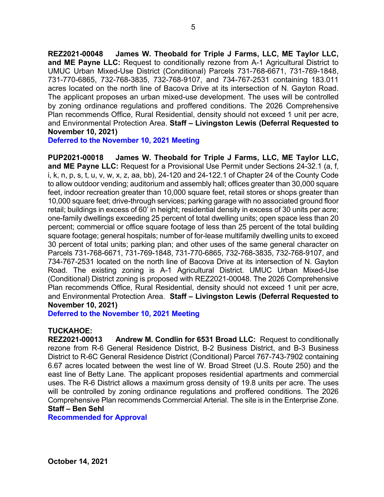**REZ2021-00048 James W. Theobald for Triple J Farms, LLC, ME Taylor LLC, and ME Payne LLC:** Request to conditionally rezone from A-1 Agricultural District to UMUC Urban Mixed-Use District (Conditional) Parcels 731-768-6671, 731-769-1848, 731-770-6865, 732-768-3835, 732-768-9107, and 734-767-2531 containing 183.011 acres located on the north line of Bacova Drive at its intersection of N. Gayton Road. The applicant proposes an urban mixed-use development. The uses will be controlled by zoning ordinance regulations and proffered conditions. The 2026 Comprehensive Plan recommends Office, Rural Residential, density should not exceed 1 unit per acre, and Environmental Protection Area. **Staff – Livingston Lewis (Deferral Requested to November 10, 2021)**

**Deferred to the November 10, 2021 Meeting**

**PUP2021-00018 James W. Theobald for Triple J Farms, LLC, ME Taylor LLC, and ME Payne LLC:** Request for a Provisional Use Permit under Sections 24-32.1 (a, f, i, k, n, p, s, t, u, v, w, x, z, aa, bb), 24-120 and 24-122.1 of Chapter 24 of the County Code to allow outdoor vending; auditorium and assembly hall; offices greater than 30,000 square feet, indoor recreation greater than 10,000 square feet, retail stores or shops greater than 10,000 square feet; drive-through services; parking garage with no associated ground floor retail; buildings in excess of 60' in height; residential density in excess of 30 units per acre; one-family dwellings exceeding 25 percent of total dwelling units; open space less than 20 percent; commercial or office square footage of less than 25 percent of the total building square footage; general hospitals; number of for-lease multifamily dwelling units to exceed 30 percent of total units; parking plan; and other uses of the same general character on Parcels 731-768-6671, 731-769-1848, 731-770-6865, 732-768-3835, 732-768-9107, and 734-767-2531 located on the north line of Bacova Drive at its intersection of N. Gayton Road. The existing zoning is A-1 Agricultural District. UMUC Urban Mixed-Use (Conditional) District zoning is proposed with REZ2021-00048. The 2026 Comprehensive Plan recommends Office, Rural Residential, density should not exceed 1 unit per acre, and Environmental Protection Area. **Staff – Livingston Lewis (Deferral Requested to November 10, 2021)**

**Deferred to the November 10, 2021 Meeting**

## **TUCKAHOE:**

**REZ2021-00013 Andrew M. Condlin for 6531 Broad LLC:** Request to conditionally rezone from R-6 General Residence District, B-2 Business District, and B-3 Business District to R-6C General Residence District (Conditional) Parcel 767-743-7902 containing 6.67 acres located between the west line of W. Broad Street (U.S. Route 250) and the east line of Betty Lane. The applicant proposes residential apartments and commercial uses. The R-6 District allows a maximum gross density of 19.8 units per acre. The uses will be controlled by zoning ordinance regulations and proffered conditions. The 2026 Comprehensive Plan recommends Commercial Arterial. The site is in the Enterprise Zone. **Staff – Ben Sehl**

**Recommended for Approval**